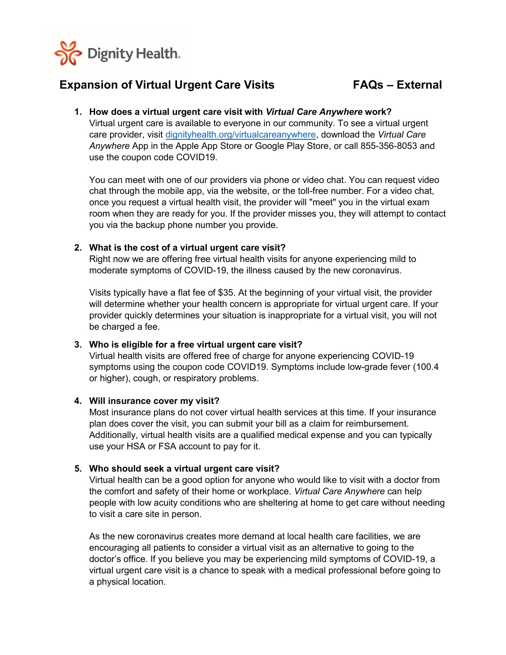

# **Expansion of Virtual Urgent Care Visits FAQs – External**

**1. How does a virtual urgent care visit with** *Virtual Care Anywhere* **work?** Virtual urgent care is available to everyone in our community. To see a virtual urgent care provider, visit [dignityhealth.org/virtualcareanywhere,](http://www.dignityhealth.org/virtualcareanywhere) download the *Virtual Care Anywhere* App in the Apple App Store or Google Play Store, or call 855-356-8053 and use the coupon code COVID19.

You can meet with one of our providers via phone or video chat. You can request video chat through the mobile app, via the website, or the toll-free number. For a video chat, once you request a virtual health visit, the provider will "meet" you in the virtual exam room when they are ready for you. If the provider misses you, they will attempt to contact you via the backup phone number you provide.

### **2. What is the cost of a virtual urgent care visit?**

Right now we are offering free virtual health visits for anyone experiencing mild to moderate symptoms of COVID-19, the illness caused by the new coronavirus.

Visits typically have a flat fee of \$35. At the beginning of your virtual visit, the provider will determine whether your health concern is appropriate for virtual urgent care. If your provider quickly determines your situation is inappropriate for a virtual visit, you will not be charged a fee.

#### **3. Who is eligible for a free virtual urgent care visit?**

Virtual health visits are offered free of charge for anyone experiencing COVID-19 symptoms using the coupon code COVID19. Symptoms include low-grade fever (100.4 or higher), cough, or respiratory problems.

#### **4. Will insurance cover my visit?**

Most insurance plans do not cover virtual health services at this time. If your insurance plan does cover the visit, you can submit your bill as a claim for reimbursement. Additionally, virtual health visits are a qualified medical expense and you can typically use your HSA or FSA account to pay for it.

## **5. Who should seek a virtual urgent care visit?**

Virtual health can be a good option for anyone who would like to visit with a doctor from the comfort and safety of their home or workplace. *Virtual Care Anywhere* can help people with low acuity conditions who are sheltering at home to get care without needing to visit a care site in person.

As the new coronavirus creates more demand at local health care facilities, we are encouraging all patients to consider a virtual visit as an alternative to going to the doctor's office. If you believe you may be experiencing mild symptoms of COVID-19, a virtual urgent care visit is a chance to speak with a medical professional before going to a physical location.